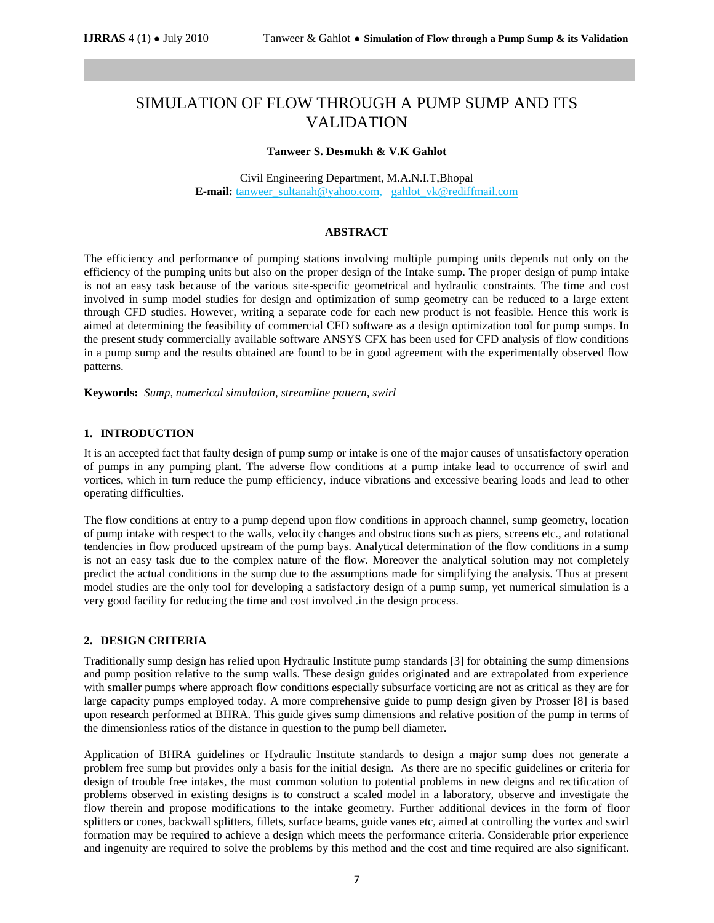# SIMULATION OF FLOW THROUGH A PUMP SUMP AND ITS VALIDATION

#### **Tanweer S. Desmukh & V.K Gahlot**

Civil Engineering Department, M.A.N.I.T,Bhopal **E-mail:** [tanweer\\_sultanah@yahoo.com,](mailto:tanweer_sultanah@yahoo.com) [gahlot\\_vk@rediffmail.com](mailto:gahlot_vk@rediffmail.com) 

#### **ABSTRACT**

The efficiency and performance of pumping stations involving multiple pumping units depends not only on the efficiency of the pumping units but also on the proper design of the Intake sump. The proper design of pump intake is not an easy task because of the various site-specific geometrical and hydraulic constraints. The time and cost involved in sump model studies for design and optimization of sump geometry can be reduced to a large extent through CFD studies. However, writing a separate code for each new product is not feasible. Hence this work is aimed at determining the feasibility of commercial CFD software as a design optimization tool for pump sumps. In the present study commercially available software ANSYS CFX has been used for CFD analysis of flow conditions in a pump sump and the results obtained are found to be in good agreement with the experimentally observed flow patterns.

**Keywords:** *Sump, numerical simulation, streamline pattern, swirl*

#### **1. INTRODUCTION**

It is an accepted fact that faulty design of pump sump or intake is one of the major causes of unsatisfactory operation of pumps in any pumping plant. The adverse flow conditions at a pump intake lead to occurrence of swirl and vortices, which in turn reduce the pump efficiency, induce vibrations and excessive bearing loads and lead to other operating difficulties.

The flow conditions at entry to a pump depend upon flow conditions in approach channel, sump geometry, location of pump intake with respect to the walls, velocity changes and obstructions such as piers, screens etc., and rotational tendencies in flow produced upstream of the pump bays. Analytical determination of the flow conditions in a sump is not an easy task due to the complex nature of the flow. Moreover the analytical solution may not completely predict the actual conditions in the sump due to the assumptions made for simplifying the analysis. Thus at present model studies are the only tool for developing a satisfactory design of a pump sump, yet numerical simulation is a very good facility for reducing the time and cost involved .in the design process.

## **2. DESIGN CRITERIA**

Traditionally sump design has relied upon Hydraulic Institute pump standards [3] for obtaining the sump dimensions and pump position relative to the sump walls. These design guides originated and are extrapolated from experience with smaller pumps where approach flow conditions especially subsurface vorticing are not as critical as they are for large capacity pumps employed today. A more comprehensive guide to pump design given by Prosser [8] is based upon research performed at BHRA. This guide gives sump dimensions and relative position of the pump in terms of the dimensionless ratios of the distance in question to the pump bell diameter.

Application of BHRA guidelines or Hydraulic Institute standards to design a major sump does not generate a problem free sump but provides only a basis for the initial design. As there are no specific guidelines or criteria for design of trouble free intakes, the most common solution to potential problems in new deigns and rectification of problems observed in existing designs is to construct a scaled model in a laboratory, observe and investigate the flow therein and propose modifications to the intake geometry. Further additional devices in the form of floor splitters or cones, backwall splitters, fillets, surface beams, guide vanes etc, aimed at controlling the vortex and swirl formation may be required to achieve a design which meets the performance criteria. Considerable prior experience and ingenuity are required to solve the problems by this method and the cost and time required are also significant.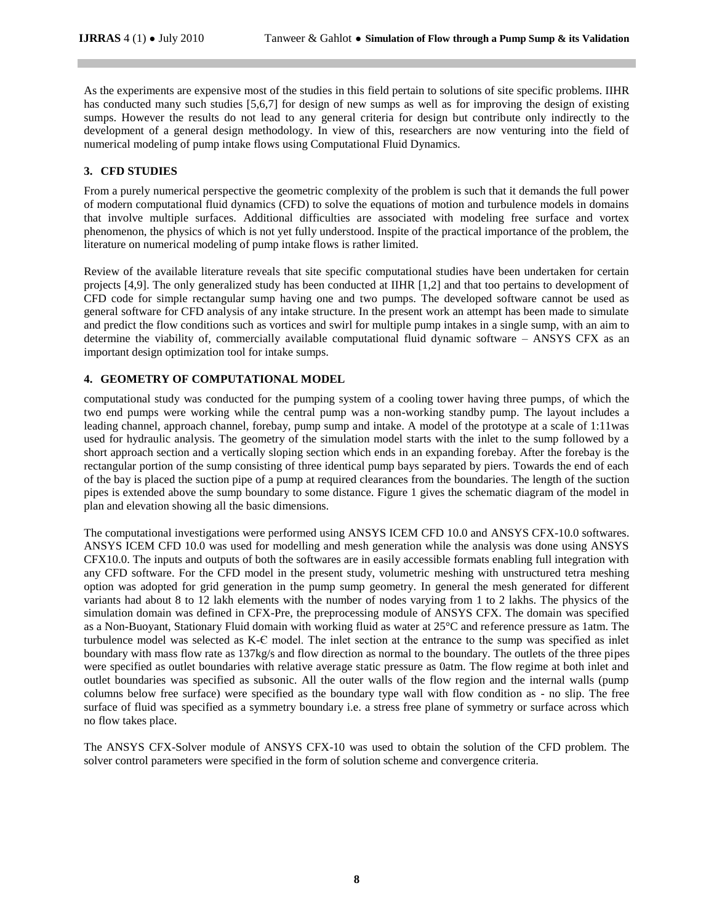As the experiments are expensive most of the studies in this field pertain to solutions of site specific problems. IIHR has conducted many such studies [5,6,7] for design of new sumps as well as for improving the design of existing sumps. However the results do not lead to any general criteria for design but contribute only indirectly to the development of a general design methodology. In view of this, researchers are now venturing into the field of numerical modeling of pump intake flows using Computational Fluid Dynamics.

# **3. CFD STUDIES**

From a purely numerical perspective the geometric complexity of the problem is such that it demands the full power of modern computational fluid dynamics (CFD) to solve the equations of motion and turbulence models in domains that involve multiple surfaces. Additional difficulties are associated with modeling free surface and vortex phenomenon, the physics of which is not yet fully understood. Inspite of the practical importance of the problem, the literature on numerical modeling of pump intake flows is rather limited.

Review of the available literature reveals that site specific computational studies have been undertaken for certain projects [4,9]. The only generalized study has been conducted at IIHR [1,2] and that too pertains to development of CFD code for simple rectangular sump having one and two pumps. The developed software cannot be used as general software for CFD analysis of any intake structure. In the present work an attempt has been made to simulate and predict the flow conditions such as vortices and swirl for multiple pump intakes in a single sump, with an aim to determine the viability of, commercially available computational fluid dynamic software – ANSYS CFX as an important design optimization tool for intake sumps.

# **4. GEOMETRY OF COMPUTATIONAL MODEL**

computational study was conducted for the pumping system of a cooling tower having three pumps, of which the two end pumps were working while the central pump was a non-working standby pump. The layout includes a leading channel, approach channel, forebay, pump sump and intake. A model of the prototype at a scale of 1:11was used for hydraulic analysis. The geometry of the simulation model starts with the inlet to the sump followed by a short approach section and a vertically sloping section which ends in an expanding forebay. After the forebay is the rectangular portion of the sump consisting of three identical pump bays separated by piers. Towards the end of each of the bay is placed the suction pipe of a pump at required clearances from the boundaries. The length of the suction pipes is extended above the sump boundary to some distance. Figure 1 gives the schematic diagram of the model in plan and elevation showing all the basic dimensions.

The computational investigations were performed using ANSYS ICEM CFD 10.0 and ANSYS CFX-10.0 softwares. ANSYS ICEM CFD 10.0 was used for modelling and mesh generation while the analysis was done using ANSYS CFX10.0. The inputs and outputs of both the softwares are in easily accessible formats enabling full integration with any CFD software. For the CFD model in the present study, volumetric meshing with unstructured tetra meshing option was adopted for grid generation in the pump sump geometry. In general the mesh generated for different variants had about 8 to 12 lakh elements with the number of nodes varying from 1 to 2 lakhs. The physics of the simulation domain was defined in CFX-Pre, the preprocessing module of ANSYS CFX. The domain was specified as a Non-Buoyant, Stationary Fluid domain with working fluid as water at 25°C and reference pressure as 1atm. The turbulence model was selected as K-Є model. The inlet section at the entrance to the sump was specified as inlet boundary with mass flow rate as 137kg/s and flow direction as normal to the boundary. The outlets of the three pipes were specified as outlet boundaries with relative average static pressure as 0atm. The flow regime at both inlet and outlet boundaries was specified as subsonic. All the outer walls of the flow region and the internal walls (pump columns below free surface) were specified as the boundary type wall with flow condition as - no slip. The free surface of fluid was specified as a symmetry boundary i.e. a stress free plane of symmetry or surface across which no flow takes place.

The ANSYS CFX-Solver module of ANSYS CFX-10 was used to obtain the solution of the CFD problem. The solver control parameters were specified in the form of solution scheme and convergence criteria.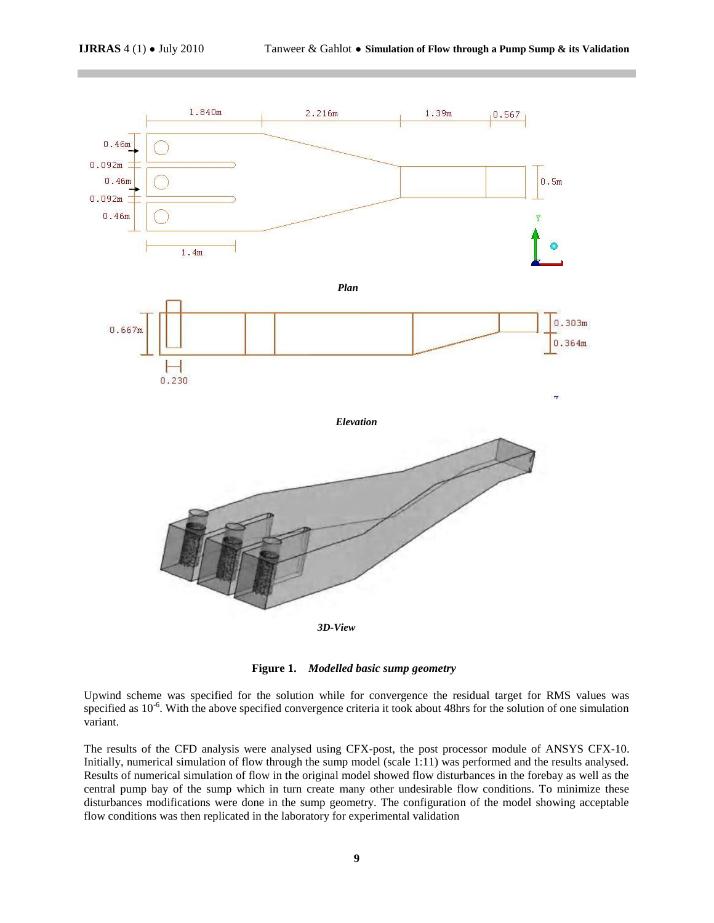

**Figure 1.** *Modelled basic sump geometry*

Upwind scheme was specified for the solution while for convergence the residual target for RMS values was specified as 10<sup>-6</sup>. With the above specified convergence criteria it took about 48hrs for the solution of one simulation variant.

The results of the CFD analysis were analysed using CFX-post, the post processor module of ANSYS CFX-10. Initially, numerical simulation of flow through the sump model (scale 1:11) was performed and the results analysed. Results of numerical simulation of flow in the original model showed flow disturbances in the forebay as well as the central pump bay of the sump which in turn create many other undesirable flow conditions. To minimize these disturbances modifications were done in the sump geometry. The configuration of the model showing acceptable flow conditions was then replicated in the laboratory for experimental validation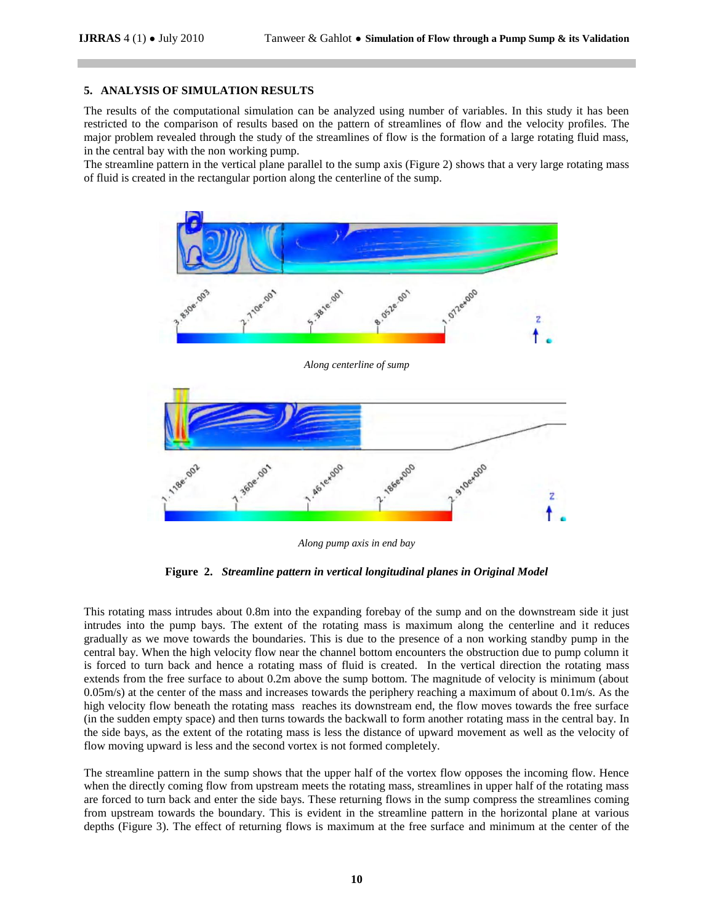#### **5. ANALYSIS OF SIMULATION RESULTS**

The results of the computational simulation can be analyzed using number of variables. In this study it has been restricted to the comparison of results based on the pattern of streamlines of flow and the velocity profiles. The major problem revealed through the study of the streamlines of flow is the formation of a large rotating fluid mass, in the central bay with the non working pump.

The streamline pattern in the vertical plane parallel to the sump axis (Figure 2) shows that a very large rotating mass of fluid is created in the rectangular portion along the centerline of the sump.



*Along pump axis in end bay*

**Figure 2.** *Streamline pattern in vertical longitudinal planes in Original Model*

This rotating mass intrudes about 0.8m into the expanding forebay of the sump and on the downstream side it just intrudes into the pump bays. The extent of the rotating mass is maximum along the centerline and it reduces gradually as we move towards the boundaries. This is due to the presence of a non working standby pump in the central bay. When the high velocity flow near the channel bottom encounters the obstruction due to pump column it is forced to turn back and hence a rotating mass of fluid is created. In the vertical direction the rotating mass extends from the free surface to about 0.2m above the sump bottom. The magnitude of velocity is minimum (about  $0.05$ m/s) at the center of the mass and increases towards the periphery reaching a maximum of about  $0.1$ m/s. As the high velocity flow beneath the rotating mass reaches its downstream end, the flow moves towards the free surface (in the sudden empty space) and then turns towards the backwall to form another rotating mass in the central bay. In the side bays, as the extent of the rotating mass is less the distance of upward movement as well as the velocity of flow moving upward is less and the second vortex is not formed completely.

The streamline pattern in the sump shows that the upper half of the vortex flow opposes the incoming flow. Hence when the directly coming flow from upstream meets the rotating mass, streamlines in upper half of the rotating mass are forced to turn back and enter the side bays. These returning flows in the sump compress the streamlines coming from upstream towards the boundary. This is evident in the streamline pattern in the horizontal plane at various depths (Figure 3). The effect of returning flows is maximum at the free surface and minimum at the center of the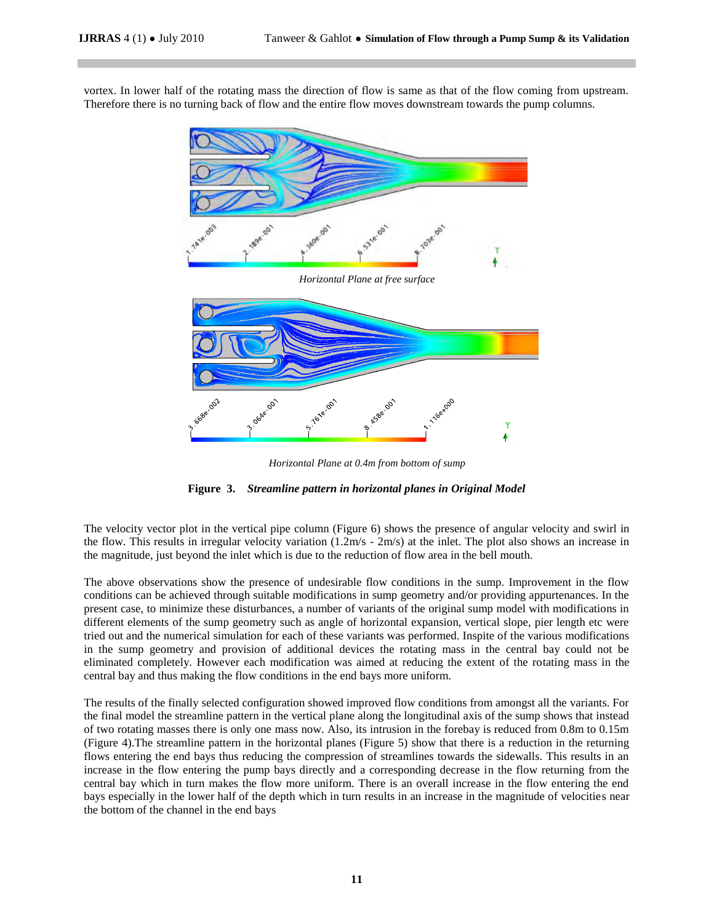vortex. In lower half of the rotating mass the direction of flow is same as that of the flow coming from upstream. Therefore there is no turning back of flow and the entire flow moves downstream towards the pump columns.



*Horizontal Plane at 0.4m from bottom of sump*



The velocity vector plot in the vertical pipe column (Figure 6) shows the presence of angular velocity and swirl in the flow. This results in irregular velocity variation (1.2m/s - 2m/s) at the inlet. The plot also shows an increase in the magnitude, just beyond the inlet which is due to the reduction of flow area in the bell mouth.

The above observations show the presence of undesirable flow conditions in the sump. Improvement in the flow conditions can be achieved through suitable modifications in sump geometry and/or providing appurtenances. In the present case, to minimize these disturbances, a number of variants of the original sump model with modifications in different elements of the sump geometry such as angle of horizontal expansion, vertical slope, pier length etc were tried out and the numerical simulation for each of these variants was performed. Inspite of the various modifications in the sump geometry and provision of additional devices the rotating mass in the central bay could not be eliminated completely. However each modification was aimed at reducing the extent of the rotating mass in the central bay and thus making the flow conditions in the end bays more uniform.

The results of the finally selected configuration showed improved flow conditions from amongst all the variants. For the final model the streamline pattern in the vertical plane along the longitudinal axis of the sump shows that instead of two rotating masses there is only one mass now. Also, its intrusion in the forebay is reduced from 0.8m to 0.15m (Figure 4).The streamline pattern in the horizontal planes (Figure 5) show that there is a reduction in the returning flows entering the end bays thus reducing the compression of streamlines towards the sidewalls. This results in an increase in the flow entering the pump bays directly and a corresponding decrease in the flow returning from the central bay which in turn makes the flow more uniform. There is an overall increase in the flow entering the end bays especially in the lower half of the depth which in turn results in an increase in the magnitude of velocities near the bottom of the channel in the end bays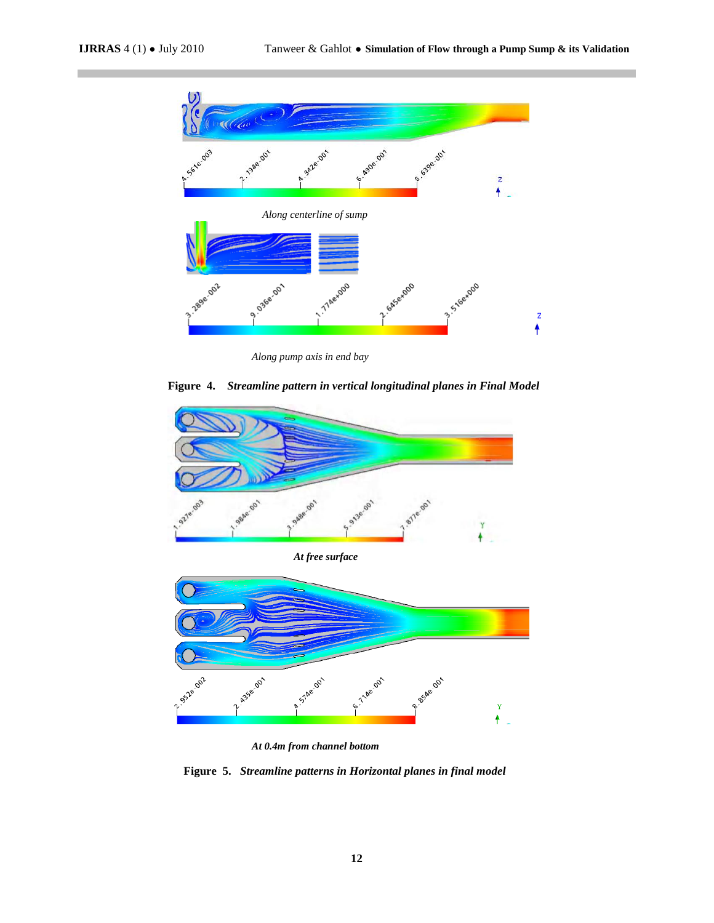

 *Along pump axis in end bay*

**Figure 4.** *Streamline pattern in vertical longitudinal planes in Final Model*



*At 0.4m from channel bottom*

 **Figure 5.** *Streamline patterns in Horizontal planes in final model*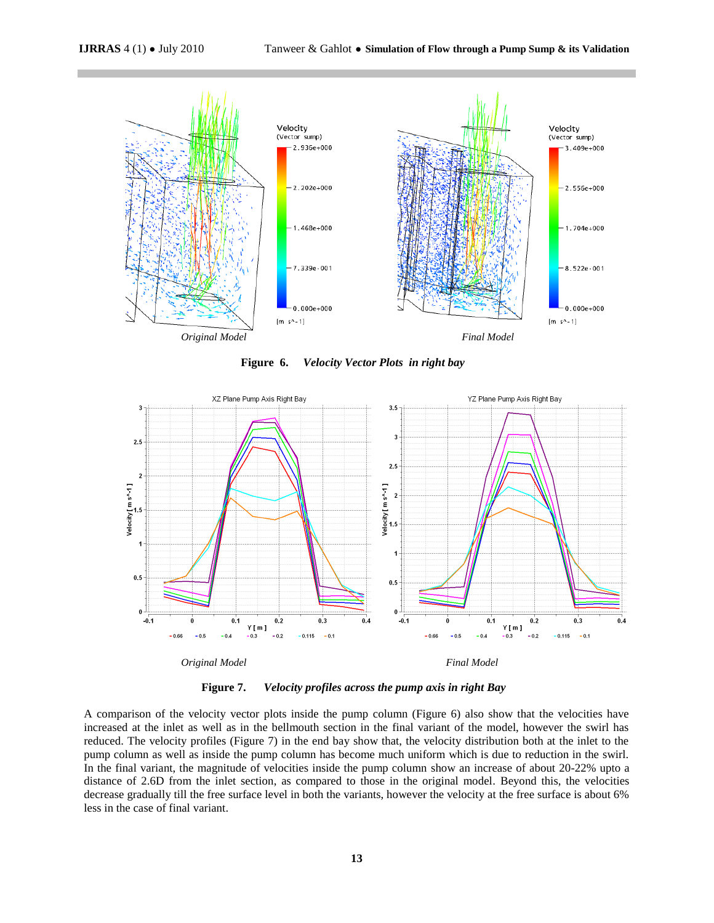

 **Figure 6.** *Velocity Vector Plots in right bay*



**Figure 7.** *Velocity profiles across the pump axis in right Bay*

A comparison of the velocity vector plots inside the pump column (Figure 6) also show that the velocities have increased at the inlet as well as in the bellmouth section in the final variant of the model, however the swirl has reduced. The velocity profiles (Figure 7) in the end bay show that, the velocity distribution both at the inlet to the pump column as well as inside the pump column has become much uniform which is due to reduction in the swirl. In the final variant, the magnitude of velocities inside the pump column show an increase of about 20-22% upto a distance of 2.6D from the inlet section, as compared to those in the original model. Beyond this, the velocities decrease gradually till the free surface level in both the variants, however the velocity at the free surface is about 6% less in the case of final variant.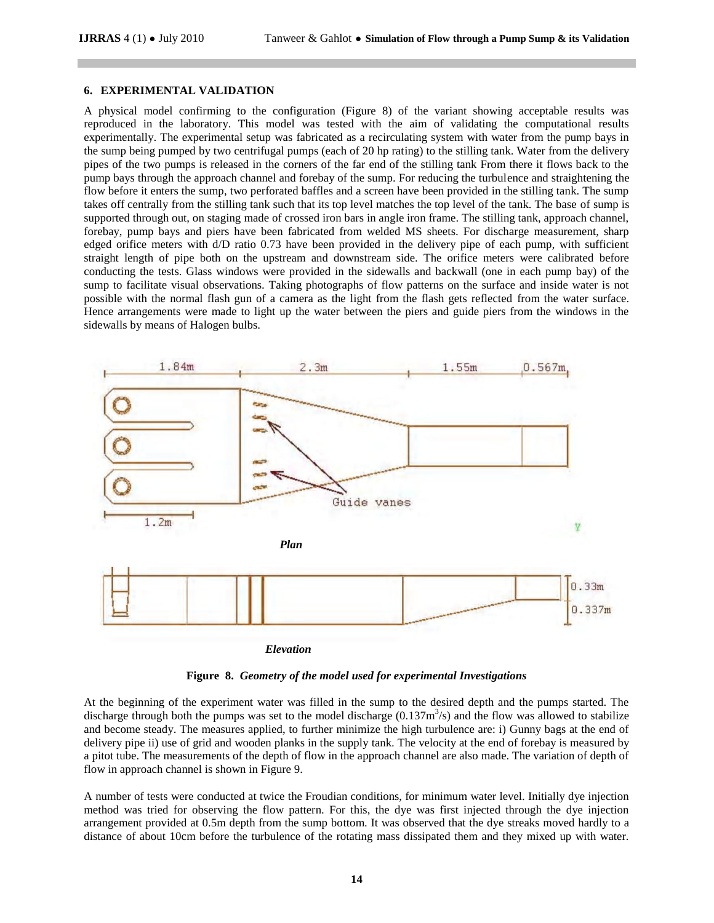#### **6. EXPERIMENTAL VALIDATION**

A physical model confirming to the configuration (Figure 8) of the variant showing acceptable results was reproduced in the laboratory. This model was tested with the aim of validating the computational results experimentally. The experimental setup was fabricated as a recirculating system with water from the pump bays in the sump being pumped by two centrifugal pumps (each of 20 hp rating) to the stilling tank. Water from the delivery pipes of the two pumps is released in the corners of the far end of the stilling tank From there it flows back to the pump bays through the approach channel and forebay of the sump. For reducing the turbulence and straightening the flow before it enters the sump, two perforated baffles and a screen have been provided in the stilling tank. The sump takes off centrally from the stilling tank such that its top level matches the top level of the tank. The base of sump is supported through out, on staging made of crossed iron bars in angle iron frame. The stilling tank, approach channel, forebay, pump bays and piers have been fabricated from welded MS sheets. For discharge measurement, sharp edged orifice meters with d/D ratio 0.73 have been provided in the delivery pipe of each pump, with sufficient straight length of pipe both on the upstream and downstream side. The orifice meters were calibrated before conducting the tests. Glass windows were provided in the sidewalls and backwall (one in each pump bay) of the sump to facilitate visual observations. Taking photographs of flow patterns on the surface and inside water is not possible with the normal flash gun of a camera as the light from the flash gets reflected from the water surface. Hence arrangements were made to light up the water between the piers and guide piers from the windows in the sidewalls by means of Halogen bulbs.



**Figure 8.** *Geometry of the model used for experimental Investigations*

At the beginning of the experiment water was filled in the sump to the desired depth and the pumps started. The discharge through both the pumps was set to the model discharge  $(0.137m<sup>3</sup>/s)$  and the flow was allowed to stabilize and become steady. The measures applied, to further minimize the high turbulence are: i) Gunny bags at the end of delivery pipe ii) use of grid and wooden planks in the supply tank. The velocity at the end of forebay is measured by a pitot tube. The measurements of the depth of flow in the approach channel are also made. The variation of depth of flow in approach channel is shown in Figure 9.

A number of tests were conducted at twice the Froudian conditions, for minimum water level. Initially dye injection method was tried for observing the flow pattern. For this, the dye was first injected through the dye injection arrangement provided at 0.5m depth from the sump bottom. It was observed that the dye streaks moved hardly to a distance of about 10cm before the turbulence of the rotating mass dissipated them and they mixed up with water.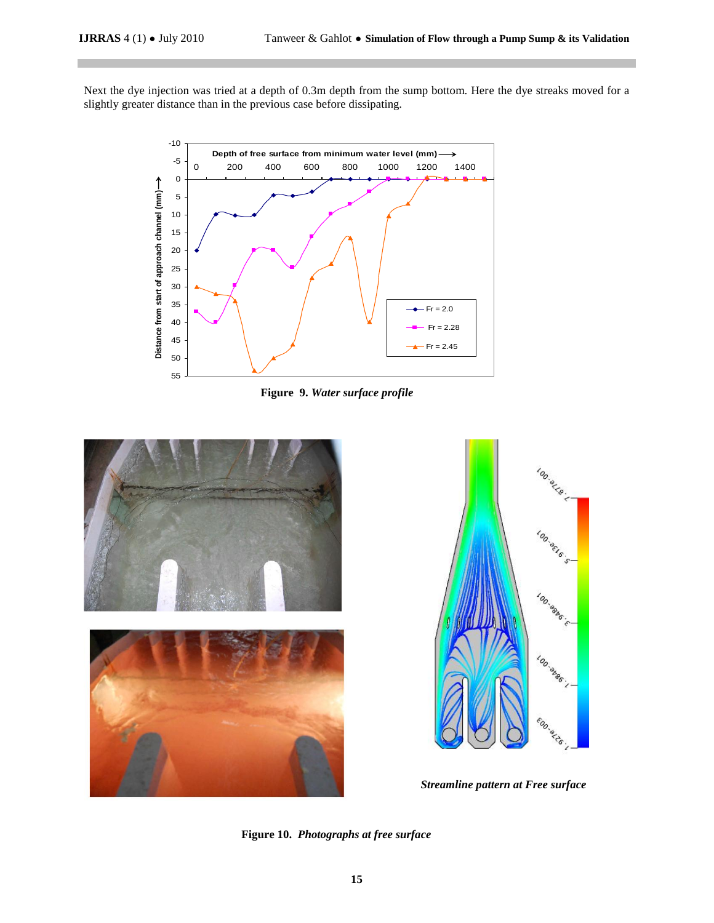Next the dye injection was tried at a depth of 0.3m depth from the sump bottom. Here the dye streaks moved for a slightly greater distance than in the previous case before dissipating.



 **Figure 9.** *Water surface profile*



**Figure 10.** *Photographs at free surface*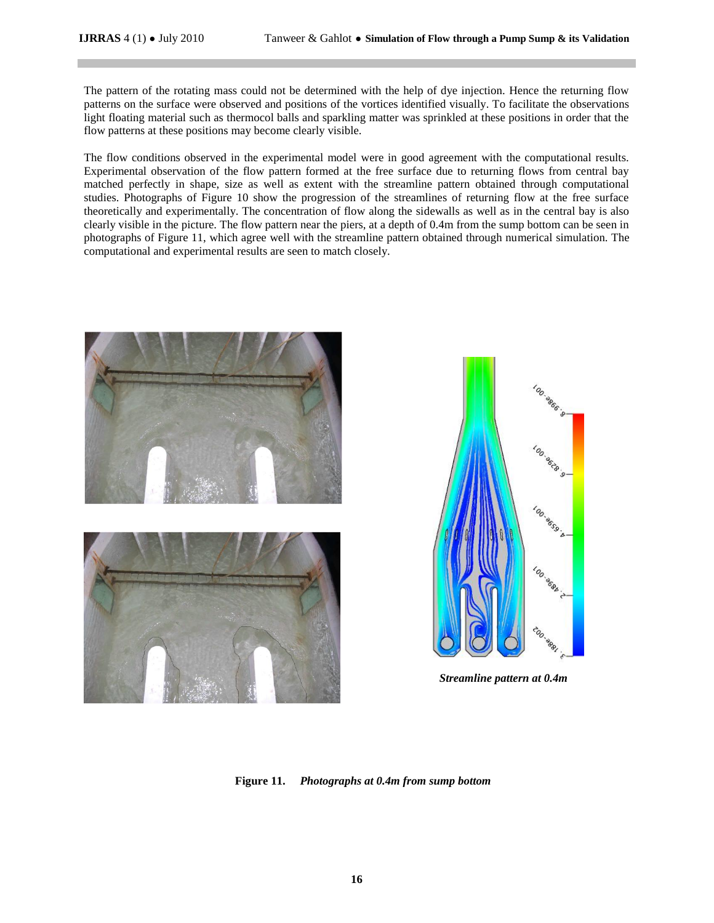The pattern of the rotating mass could not be determined with the help of dye injection. Hence the returning flow patterns on the surface were observed and positions of the vortices identified visually. To facilitate the observations light floating material such as thermocol balls and sparkling matter was sprinkled at these positions in order that the flow patterns at these positions may become clearly visible.

The flow conditions observed in the experimental model were in good agreement with the computational results. Experimental observation of the flow pattern formed at the free surface due to returning flows from central bay matched perfectly in shape, size as well as extent with the streamline pattern obtained through computational studies. Photographs of Figure 10 show the progression of the streamlines of returning flow at the free surface theoretically and experimentally. The concentration of flow along the sidewalls as well as in the central bay is also clearly visible in the picture. The flow pattern near the piers, at a depth of 0.4m from the sump bottom can be seen in photographs of Figure 11, which agree well with the streamline pattern obtained through numerical simulation. The computational and experimental results are seen to match closely.





*Streamline pattern at 0.4m*

 **Figure 11.** *Photographs at 0.4m from sump bottom*